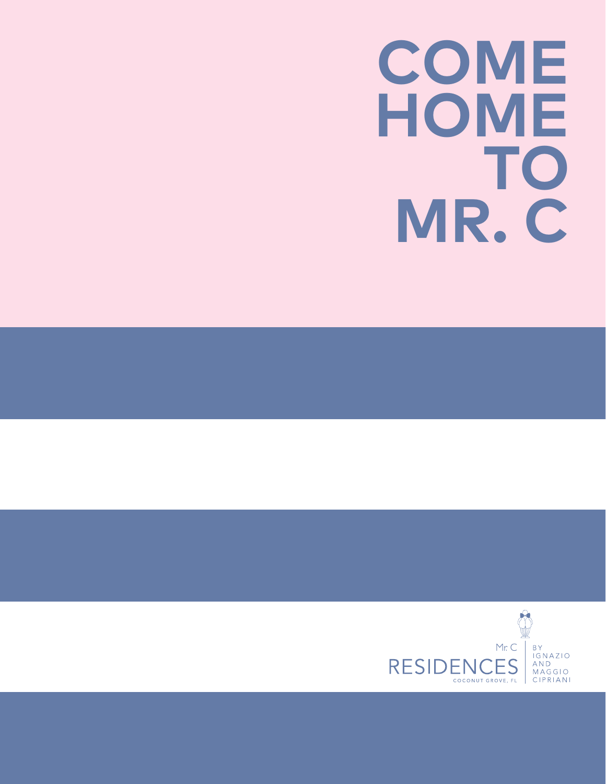# **COME HOME TO MR. C**

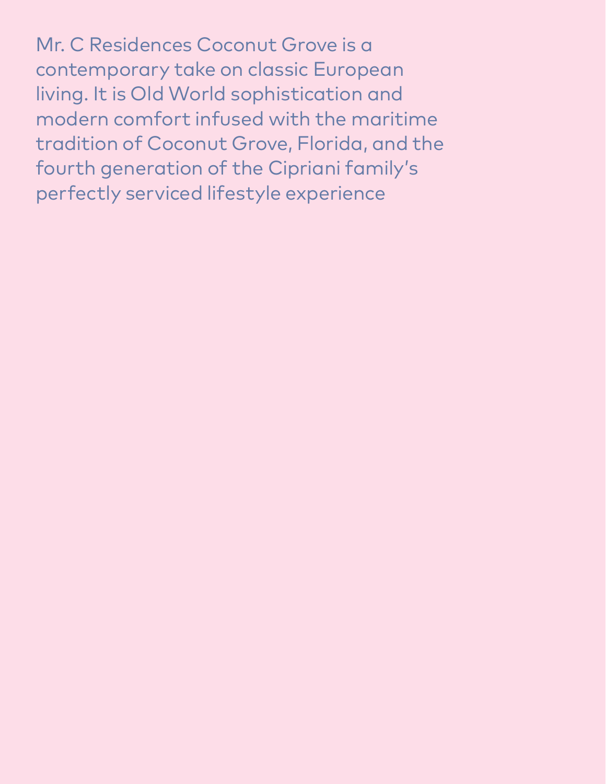Mr. C Residences Coconut Grove is a contemporary take on classic European living. It is Old World sophistication and modern comfort infused with the maritime tradition of Coconut Grove, Florida, and the fourth generation of the Cipriani family's perfectly serviced lifestyle experience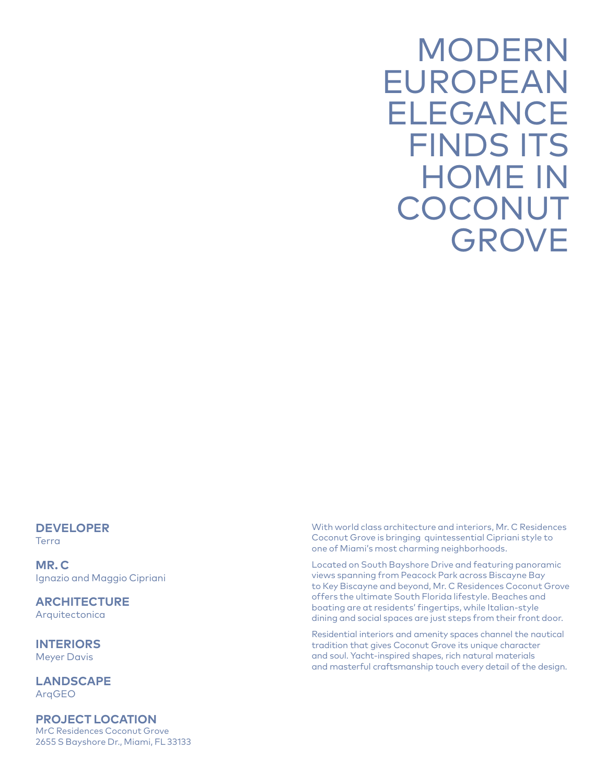MODERN EUROPEAN ELEGANCE FINDS ITS HOME IN COCONUT **GROVE** 

### **DEVELOPER**

Terra

**MR. C** Ignazio and Maggio Cipriani

**ARCHITECTURE** Arquitectonica

**INTERIORS** Meyer Davis

**LANDSCAPE** ArqGEO

### **PROJECT LOCATION**

MrC Residences Coconut Grove 2655 S Bayshore Dr., Miami, FL 33133 With world class architecture and interiors, Mr. C Residences Coconut Grove is bringing quintessential Cipriani style to one of Miami's most charming neighborhoods.

Located on South Bayshore Drive and featuring panoramic views spanning from Peacock Park across Biscayne Bay to Key Biscayne and beyond, Mr. C Residences Coconut Grove offers the ultimate South Florida lifestyle. Beaches and boating are at residents' fingertips, while Italian-style dining and social spaces are just steps from their front door.

Residential interiors and amenity spaces channel the nautical tradition that gives Coconut Grove its unique character and soul. Yacht-inspired shapes, rich natural materials and masterful craftsmanship touch every detail of the design.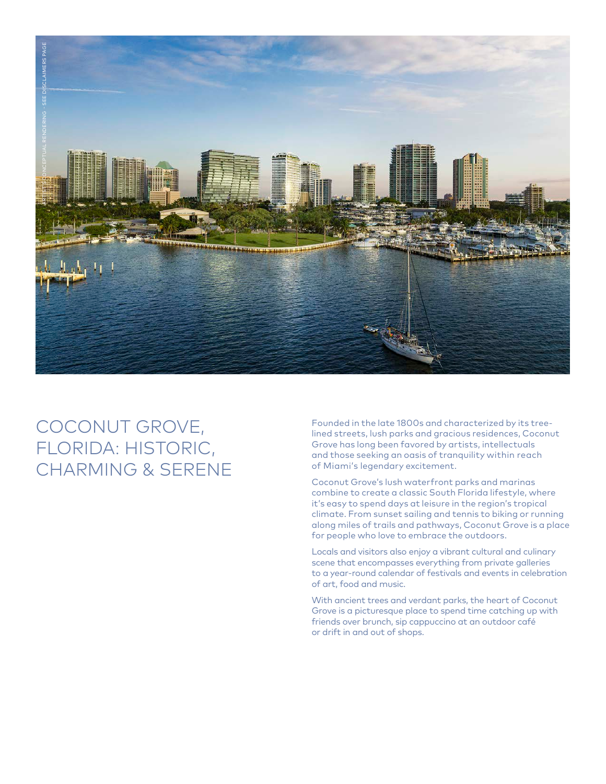

### COCONUT GROVE, FLORIDA: HISTORIC, CHARMING & SERENE

Founded in the late 1800s and characterized by its treelined streets, lush parks and gracious residences, Coconut Grove has long been favored by artists, intellectuals and those seeking an oasis of tranquility within reach of Miami's legendary excitement.

Coconut Grove's lush waterfront parks and marinas combine to create a classic South Florida lifestyle, where it's easy to spend days at leisure in the region's tropical climate. From sunset sailing and tennis to biking or running along miles of trails and pathways, Coconut Grove is a place for people who love to embrace the outdoors.

Locals and visitors also enjoy a vibrant cultural and culinary scene that encompasses everything from private galleries to a year-round calendar of festivals and events in celebration of art, food and music.

With ancient trees and verdant parks, the heart of Coconut Grove is a picturesque place to spend time catching up with friends over brunch, sip cappuccino at an outdoor café or drift in and out of shops.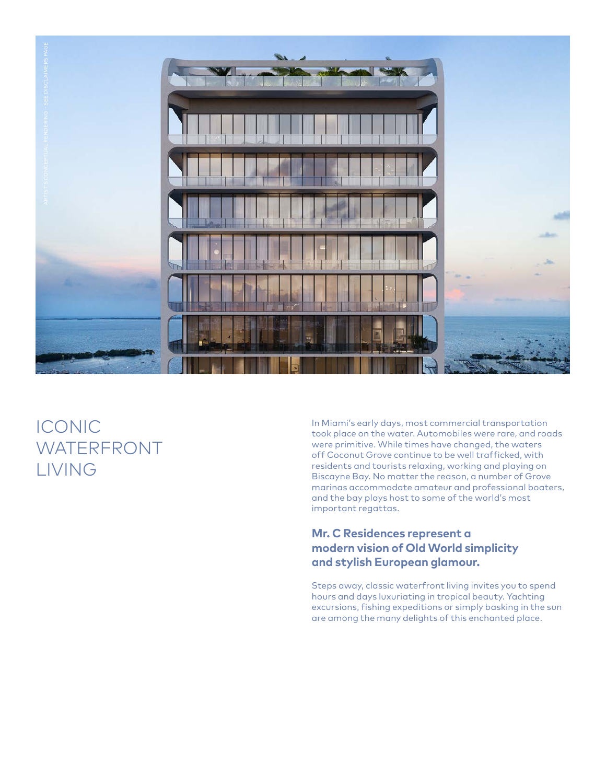

### ICONIC WATERFRONT LIVING

In Miami's early days, most commercial transportation took place on the water. Automobiles were rare, and roads were primitive. While times have changed, the waters off Coconut Grove continue to be well trafficked, with residents and tourists relaxing, working and playing on Biscayne Bay. No matter the reason, a number of Grove marinas accommodate amateur and professional boaters, and the bay plays host to some of the world's most important regattas.

### **Mr. C Residences represent a modern vision of Old World simplicity and stylish European glamour.**

Steps away, classic waterfront living invites you to spend hours and days luxuriating in tropical beauty. Yachting excursions, fishing expeditions or simply basking in the sun are among the many delights of this enchanted place.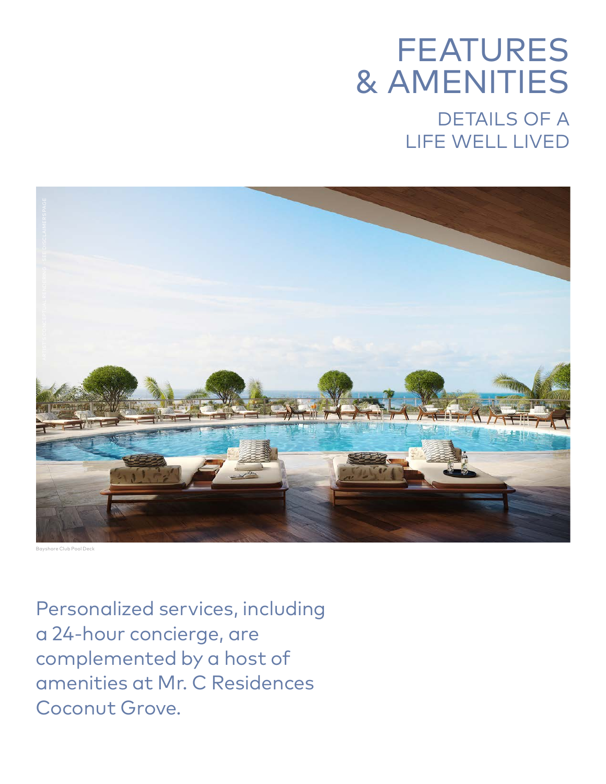# FEATURES & AMENITIES DETAILS OF A LIFE WELL LIVED



re Club Pool Decl

Personalized services, including a 24-hour concierge, are complemented by a host of amenities at Mr. C Residences Coconut Grove.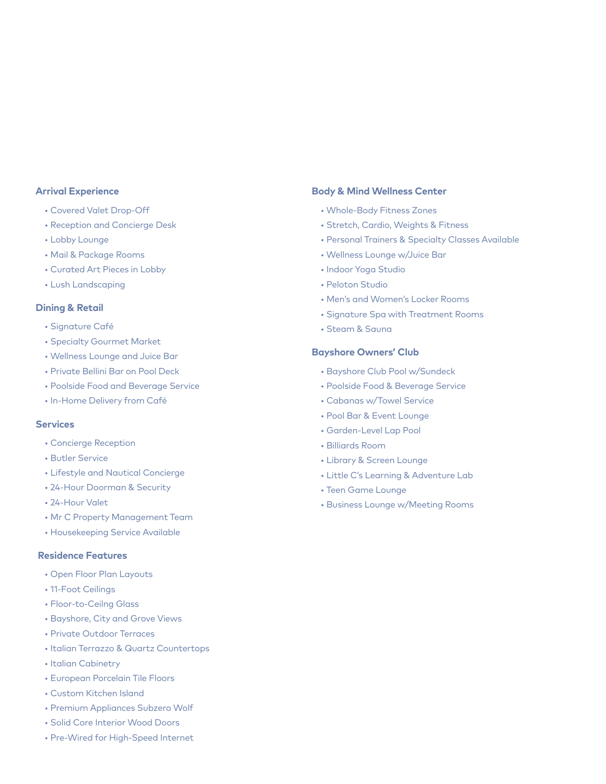### **Arrival Experience**

- Covered Valet Drop-Off
- Reception and Concierge Desk
- Lobby Lounge
- Mail & Package Rooms
- Curated Art Pieces in Lobby
- Lush Landscaping

### **Dining & Retail**

- Signature Café
- Specialty Gourmet Market
- Wellness Lounge and Juice Bar
- Private Bellini Bar on Pool Deck
- Poolside Food and Beverage Service
- In-Home Delivery from Café

### **Services**

- Concierge Reception
- Butler Service
- Lifestyle and Nautical Concierge
- 24-Hour Doorman & Security
- 24-Hour Valet
- Mr C Property Management Team
- Housekeeping Service Available

### **Residence Features**

- Open Floor Plan Layouts
- 11-Foot Ceilings
- Floor-to-Ceilng Glass
- Bayshore, City and Grove Views
- Private Outdoor Terraces
- Italian Terrazzo & Quartz Countertops
- Italian Cabinetry
- European Porcelain Tile Floors
- Custom Kitchen Island
- Premium Appliances Subzero Wolf
- Solid Core Interior Wood Doors
- Pre-Wired for High-Speed Internet

### **Body & Mind Wellness Center**

- Whole-Body Fitness Zones
- Stretch, Cardio, Weights & Fitness
- Personal Trainers & Specialty Classes Available
- Wellness Lounge w/Juice Bar
- Indoor Yoga Studio
- Peloton Studio
- Men's and Women's Locker Rooms
- Signature Spa with Treatment Rooms
- Steam & Sauna

### **Bayshore Owners' Club**

- Bayshore Club Pool w/Sundeck
- Poolside Food & Beverage Service
- Cabanas w/Towel Service
- Pool Bar & Event Lounge
- Garden-Level Lap Pool
- Billiards Room
- Library & Screen Lounge
- Little C's Learning & Adventure Lab
- Teen Game Lounge
- Business Lounge w/Meeting Rooms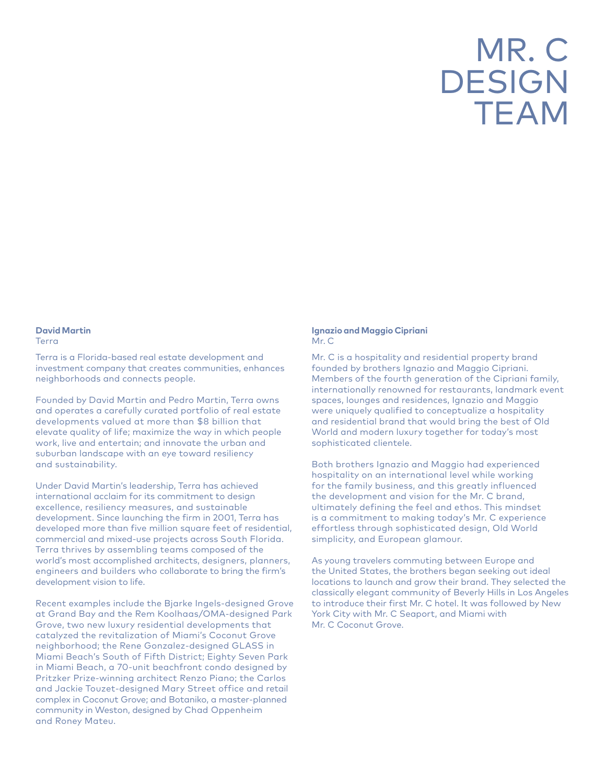# MR. C DESIGN TEAM

### **David Martin** Terra

Terra is a Florida-based real estate development and investment company that creates communities, enhances neighborhoods and connects people.

Founded by David Martin and Pedro Martin, Terra owns and operates a carefully curated portfolio of real estate developments valued at more than \$8 billion that elevate quality of life; maximize the way in which people work, live and entertain; and innovate the urban and suburban landscape with an eye toward resiliency and sustainability.

Under David Martin's leadership, Terra has achieved international acclaim for its commitment to design excellence, resiliency measures, and sustainable development. Since launching the firm in 2001, Terra has developed more than five million square feet of residential, commercial and mixed-use projects across South Florida. Terra thrives by assembling teams composed of the world's most accomplished architects, designers, planners, engineers and builders who collaborate to bring the firm's development vision to life.

Recent examples include the Bjarke Ingels-designed Grove at Grand Bay and the Rem Koolhaas/OMA-designed Park Grove, two new luxury residential developments that catalyzed the revitalization of Miami's Coconut Grove neighborhood; the Rene Gonzalez-designed GLASS in Miami Beach's South of Fifth District; Eighty Seven Park in Miami Beach, a 70-unit beachfront condo designed by Pritzker Prize-winning architect Renzo Piano; the Carlos and Jackie Touzet-designed Mary Street office and retail complex in Coconut Grove; and Botaniko, a master-planned community in Weston, designed by Chad Oppenheim and Roney Mateu.

### **Ignazio and Maggio Cipriani** Mr. C

Mr. C is a hospitality and residential property brand founded by brothers Ignazio and Maggio Cipriani. Members of the fourth generation of the Cipriani family, internationally renowned for restaurants, landmark event spaces, lounges and residences, Ignazio and Maggio were uniquely qualified to conceptualize a hospitality and residential brand that would bring the best of Old World and modern luxury together for today's most sophisticated clientele.

Both brothers Ignazio and Maggio had experienced hospitality on an international level while working for the family business, and this greatly influenced the development and vision for the Mr. C brand, ultimately defining the feel and ethos. This mindset is a commitment to making today's Mr. C experience effortless through sophisticated design, Old World simplicity, and European glamour.

As young travelers commuting between Europe and the United States, the brothers began seeking out ideal locations to launch and grow their brand. They selected the classically elegant community of Beverly Hills in Los Angeles to introduce their first Mr. C hotel. It was followed by New York City with Mr. C Seaport, and Miami with Mr. C Coconut Grove.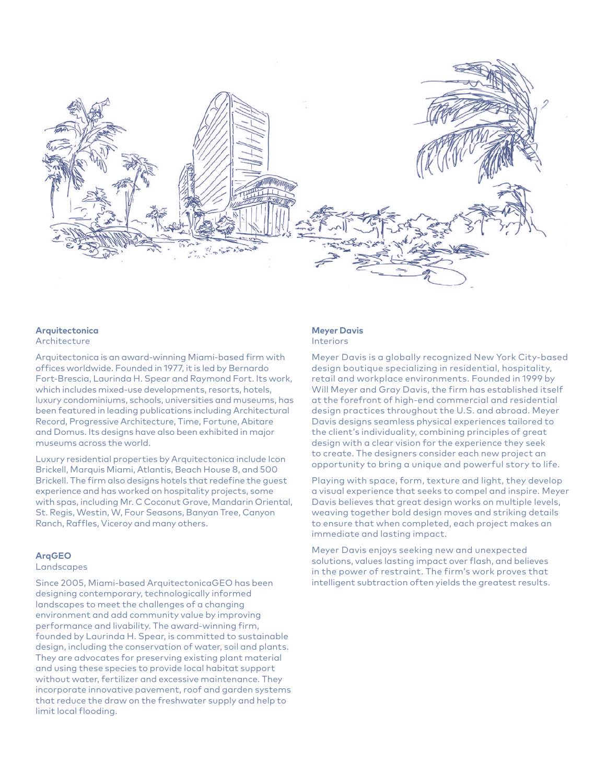

#### **Arquitectonica**  Architecture

Arquitectonica is an award-winning Miami-based firm with offices worldwide. Founded in 1977, it is led by Bernardo Fort-Brescia, Laurinda H. Spear and Raymond Fort. Its work, which includes mixed-use developments, resorts, hotels, luxury condominiums, schools, universities and museums, has been featured in leading publications including Architectural Record, Progressive Architecture, Time, Fortune, Abitare and Domus. Its designs have also been exhibited in major museums across the world.

Luxury residential properties by Arquitectonica include Icon Brickell, Marquis Miami, Atlantis, Beach House 8, and 500 Brickell. The firm also designs hotels that redefine the guest experience and has worked on hospitality projects, some with spas, including Mr. C Coconut Grove, Mandarin Oriental, St. Regis, Westin, W, Four Seasons, Banyan Tree, Canyon Ranch, Raffles, Viceroy and many others.

### **ArqGEO**

### Landscapes

Since 2005, Miami-based ArquitectonicaGEO has been designing contemporary, technologically informed landscapes to meet the challenges of a changing environment and add community value by improving performance and livability. The award-winning firm, founded by Laurinda H. Spear, is committed to sustainable design, including the conservation of water, soil and plants. They are advocates for preserving existing plant material and using these species to provide local habitat support without water, fertilizer and excessive maintenance. They incorporate innovative pavement, roof and garden systems that reduce the draw on the freshwater supply and help to limit local flooding.

### **Meyer Davis** Interiors

Meyer Davis is a globally recognized New York City-based design boutique specializing in residential, hospitality, retail and workplace environments. Founded in 1999 by Will Meyer and Gray Davis, the firm has established itself at the forefront of high-end commercial and residential design practices throughout the U.S. and abroad. Meyer Davis designs seamless physical experiences tailored to the client's individuality, combining principles of great design with a clear vision for the experience they seek to create. The designers consider each new project an opportunity to bring a unique and powerful story to life.

Playing with space, form, texture and light, they develop a visual experience that seeks to compel and inspire. Meyer Davis believes that great design works on multiple levels, weaving together bold design moves and striking details to ensure that when completed, each project makes an immediate and lasting impact.

Meyer Davis enjoys seeking new and unexpected solutions, values lasting impact over flash, and believes in the power of restraint. The firm's work proves that intelligent subtraction often yields the greatest results.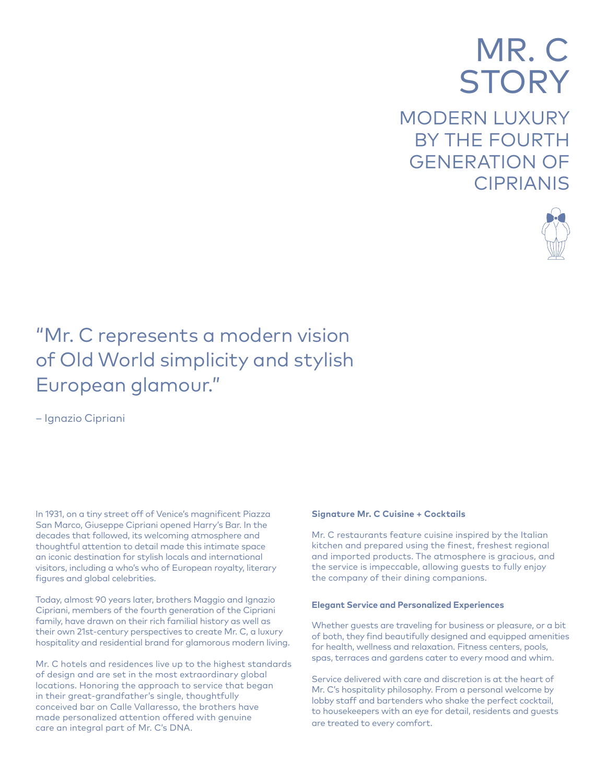# MR. C **STORY** MODERN LUXURY BY THE FOURTH GENERATION OF CIPRIANIS



## "Mr. C represents a modern vision of Old World simplicity and stylish European glamour."

– Ignazio Cipriani

In 1931, on a tiny street off of Venice's magnificent Piazza San Marco, Giuseppe Cipriani opened Harry's Bar. In the decades that followed, its welcoming atmosphere and thoughtful attention to detail made this intimate space an iconic destination for stylish locals and international visitors, including a who's who of European royalty, literary figures and global celebrities.

Today, almost 90 years later, brothers Maggio and Ignazio Cipriani, members of the fourth generation of the Cipriani family, have drawn on their rich familial history as well as their own 21st-century perspectives to create Mr. C, a luxury hospitality and residential brand for glamorous modern living.

Mr. C hotels and residences live up to the highest standards of design and are set in the most extraordinary global locations. Honoring the approach to service that began in their great-grandfather's single, thoughtfully conceived bar on Calle Vallaresso, the brothers have made personalized attention offered with genuine care an integral part of Mr. C's DNA.

### **Signature Mr. C Cuisine + Cocktails**

Mr. C restaurants feature cuisine inspired by the Italian kitchen and prepared using the finest, freshest regional and imported products. The atmosphere is gracious, and the service is impeccable, allowing guests to fully enjoy the company of their dining companions.

### **Elegant Service and Personalized Experiences**

Whether guests are traveling for business or pleasure, or a bit of both, they find beautifully designed and equipped amenities for health, wellness and relaxation. Fitness centers, pools, spas, terraces and gardens cater to every mood and whim.

Service delivered with care and discretion is at the heart of Mr. C's hospitality philosophy. From a personal welcome by lobby staff and bartenders who shake the perfect cocktail, to housekeepers with an eye for detail, residents and guests are treated to every comfort.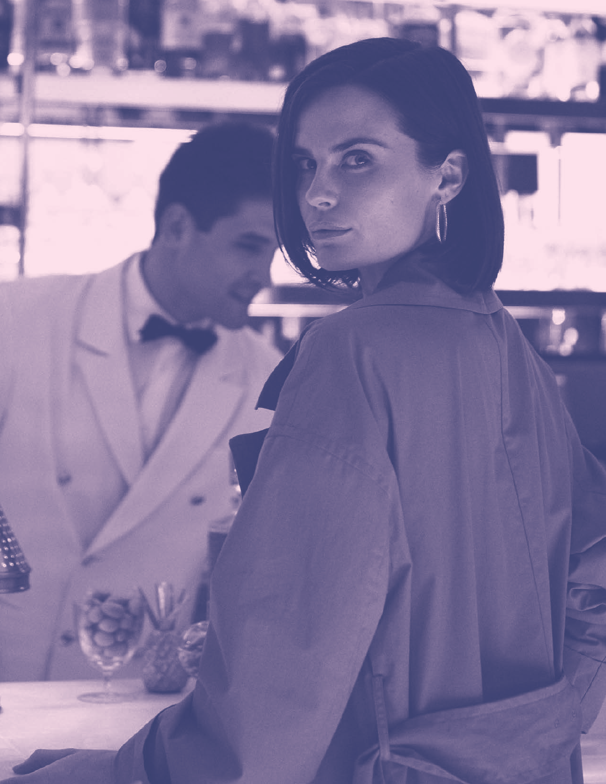